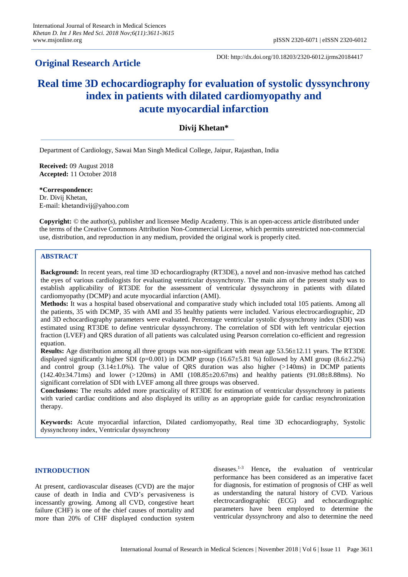# **Original Research Article**

DOI: http://dx.doi.org/10.18203/2320-6012.ijrms20184417

# **Real time 3D echocardiography for evaluation of systolic dyssynchrony index in patients with dilated cardiomyopathy and acute myocardial infarction**

## **Divij Khetan\***

Department of Cardiology, Sawai Man Singh Medical College, Jaipur, Rajasthan, India

**Received:** 09 August 2018 **Accepted:** 11 October 2018

**\*Correspondence:** Dr. Divij Khetan, E-mail: khetandivij@yahoo.com

**Copyright:** © the author(s), publisher and licensee Medip Academy. This is an open-access article distributed under the terms of the Creative Commons Attribution Non-Commercial License, which permits unrestricted non-commercial use, distribution, and reproduction in any medium, provided the original work is properly cited.

### **ABSTRACT**

**Background:** In recent years, real time 3D echocardiography (RT3DE), a novel and non-invasive method has catched the eyes of various cardiologists for evaluating ventricular dyssynchrony. The main aim of the present study was to establish applicability of RT3DE for the assessment of ventricular dyssynchrony in patients with dilated cardiomyopathy (DCMP) and acute myocardial infarction (AMI).

**Methods:** It was a hospital based observational and comparative study which included total 105 patients. Among all the patients, 35 with DCMP, 35 with AMI and 35 healthy patients were included. Various electrocardiographic, 2D and 3D echocardiography parameters were evaluated. Percentage ventricular systolic dyssynchrony index (SDI) was estimated using RT3DE to define ventricular dyssynchrony. The correlation of SDI with left ventricular ejection fraction (LVEF) and QRS duration of all patients was calculated using Pearson correlation co-efficient and regression equation.

**Results:** Age distribution among all three groups was non-significant with mean age 53.56±12.11 years. The RT3DE displayed significantly higher SDI (p=0.001) in DCMP group (16.67 $\pm$ 5.81 %) followed by AMI group (8.6 $\pm$ 2.2%) and control group  $(3.14\pm1.0\%)$ . The value of QRS duration was also higher  $(>140\text{ms})$  in DCMP patients  $(142.40\pm34.71 \text{ms})$  and lower (>120ms) in AMI (108.85 $\pm$ 20.67ms) and healthy patients (91.08 $\pm$ 8.88ms). No significant correlation of SDI with LVEF among all three groups was observed.

**Conclusions:** The results added more practicality of RT3DE for estimation of ventricular dyssynchrony in patients with varied cardiac conditions and also displayed its utility as an appropriate guide for cardiac resynchronization therapy.

**Keywords:** Acute myocardial infarction, Dilated cardiomyopathy, Real time 3D echocardiography, Systolic dyssynchrony index, Ventricular dyssynchrony

#### **INTRODUCTION**

At present, cardiovascular diseases (CVD) are the major cause of death in India and CVD's pervasiveness is incessantly growing. Among all CVD, congestive heart failure (CHF) is one of the chief causes of mortality and more than 20% of CHF displayed conduction system diseases.1-3 Hence**,** the evaluation of ventricular performance has been considered as an imperative facet for diagnosis, for estimation of prognosis of CHF as well as understanding the natural history of CVD. Various electrocardiographic (ECG) and echocardiographic parameters have been employed to determine the ventricular dyssynchrony and also to determine the need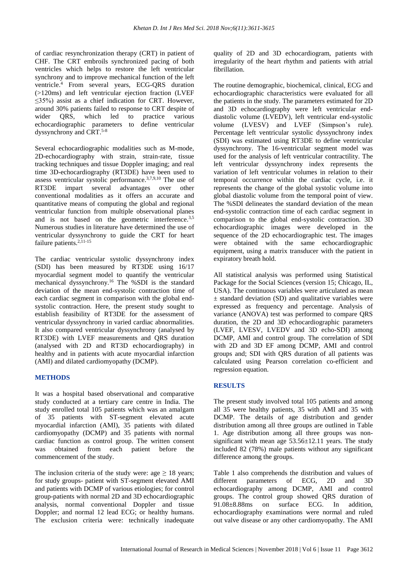of cardiac resynchronization therapy (CRT) in patient of CHF. The CRT embroils synchronized pacing of both ventricles which helps to restore the left ventricular synchrony and to improve mechanical function of the left ventricle.<sup>4</sup> From several years, ECG-QRS duration (>120ms) and left ventricular ejection fraction (LVEF ≤35%) assist as a chief indication for CRT. However, around 30% patients failed to response to CRT despite of wider QRS, which led to practice various echocardiographic parameters to define ventricular dyssynchrony and CRT.<sup>5-8</sup>

Several echocardiographic modalities such as M-mode, 2D-echocardiography with strain, strain-rate, tissue tracking techniques and tissue Doppler imaging; and real time 3D-echocardiography (RT3DE) have been used to assess ventricular systolic performance.3,7,9,10 The use of RT3DE impart several advantages over other conventional modalities as it offers an accurate and quantitative means of computing the global and regional ventricular function from multiple observational planes and is not based on the geometric interference.<sup>3,5</sup> Numerous studies in literature have determined the use of ventricular dyssynchrony to guide the CRT for heart failure patients. $2,11-15$ 

The cardiac ventricular systolic dyssynchrony index (SDI) has been measured by RT3DE using 16/17 myocardial segment model to quantify the ventricular mechanical dyssynchrony.<sup>16</sup> The %SDI is the standard deviation of the mean end-systolic contraction time of each cardiac segment in comparison with the global endsystolic contraction. Here, the present study sought to establish feasibility of RT3DE for the assessment of ventricular dyssynchrony in varied cardiac abnormalities. It also compared ventricular dyssynchrony (analysed by RT3DE) with LVEF measurements and QRS duration (analysed with 2D and RT3D echocardiography) in healthy and in patients with acute myocardial infarction (AMI) and dilated cardiomyopathy (DCMP).

#### **METHODS**

It was a hospital based observational and comparative study conducted at a tertiary care centre in India. The study enrolled total 105 patients which was an amalgam of 35 patients with ST-segment elevated acute myocardial infarction (AMI), 35 patients with dilated cardiomyopathy (DCMP) and 35 patients with normal cardiac function as control group. The written consent was obtained from each patient before the commencement of the study.

The inclusion criteria of the study were: age  $\geq$  18 years; for study groups- patient with ST-segment elevated AMI and patients with DCMP of various etiologies; for control group-patients with normal 2D and 3D echocardiographic analysis, normal conventional Doppler and tissue Doppler; and normal 12 lead ECG; or healthy humans. The exclusion criteria were: technically inadequate quality of 2D and 3D echocardiogram, patients with irregularity of the heart rhythm and patients with atrial fibrillation.

The routine demographic, biochemical, clinical, ECG and echocardiographic characteristics were evaluated for all the patients in the study. The parameters estimated for 2D and 3D echocardiography were left ventricular enddiastolic volume (LVEDV), left ventricular end-systolic volume (LVESV) and LVEF (Simpson's rule). Percentage left ventricular systolic dyssynchrony index (SDI) was estimated using RT3DE to define ventricular dyssynchrony. The 16-ventricular segment model was used for the analysis of left ventricular contractility. The left ventricular dyssynchrony index represents the variation of left ventricular volumes in relation to their temporal occurrence within the cardiac cycle, i.e. it represents the change of the global systolic volume into global diastolic volume from the temporal point of view. The %SDI delineates the standard deviation of the mean end-systolic contraction time of each cardiac segment in comparison to the global end-systolic contraction. 3D echocardiographic images were developed in the sequence of the 2D echocardiographic test. The images were obtained with the same echocardiographic equipment, using a matrix transducer with the patient in expiratory breath hold.

All statistical analysis was performed using Statistical Package for the Social Sciences (version 15; Chicago, IL, USA). The continuous variables were articulated as mean  $±$  standard deviation (SD) and qualitative variables were expressed as frequency and percentage. Analysis of variance (ANOVA) test was performed to compare QRS duration, the 2D and 3D echocardiographic parameters (LVEF, LVESV, LVEDV and 3D echo-SDI) among DCMP, AMI and control group. The correlation of SDI with 2D and 3D EF among DCMP, AMI and control groups and; SDI with QRS duration of all patients was calculated using Pearson correlation co-efficient and regression equation.

#### **RESULTS**

The present study involved total 105 patients and among all 35 were healthy patients, 35 with AMI and 35 with DCMP. The details of age distribution and gender distribution among all three groups are outlined in Table 1. Age distribution among all three groups was nonsignificant with mean age 53.56±12.11 years. The study included 82 (78%) male patients without any significant difference among the groups.

Table 1 also comprehends the distribution and values of different parameters of ECG, 2D and 3D echocardiography among DCMP, AMI and control groups. The control group showed QRS duration of 91.08±8.88ms on surface ECG. In addition, echocardiography examinations were normal and ruled out valve disease or any other cardiomyopathy. The AMI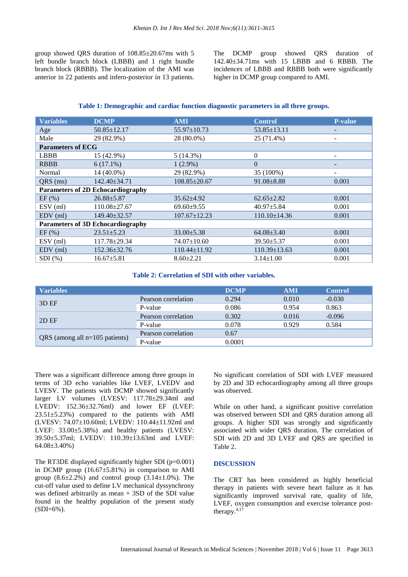group showed QRS duration of 108.85±20.67ms with 5 left bundle branch block (LBBB) and 1 right bundle branch block (RBBB). The localization of the AMI was anterior in 22 patients and infero-posterior in 13 patients. The DCMP group showed QRS duration of 142.40±34.71ms with 15 LBBB and 6 RBBB. The incidences of LBBB and RBBB both were significantly higher in DCMP group compared to AMI.

#### **Table 1: Demographic and cardiac function diagnostic parameters in all three groups.**

| <b>Variables</b>                         | <b>DCMP</b>        | <b>AMI</b>         | <b>Control</b>     | <b>P-value</b>           |  |  |  |
|------------------------------------------|--------------------|--------------------|--------------------|--------------------------|--|--|--|
| Age                                      | $50.85 \pm 12.17$  | $55.97 \pm 10.73$  | $53.85 \pm 13.11$  |                          |  |  |  |
| Male                                     | 29 (82.9%)         | 28 (80.0%)         | 25 (71.4%)         | $\overline{\phantom{a}}$ |  |  |  |
| <b>Parameters of ECG</b>                 |                    |                    |                    |                          |  |  |  |
| <b>LBBB</b>                              | 15 (42.9%)         | 5(14.3%)           | $\theta$           | $\overline{\phantom{a}}$ |  |  |  |
| <b>RBBB</b>                              | $6(17.1\%)$        | $1(2.9\%)$         | $\Omega$           | -                        |  |  |  |
| Normal                                   | $14(40.0\%)$       | 29 (82.9%)         | 35 (100%)          | $\overline{\phantom{a}}$ |  |  |  |
| QRS (ms)                                 | $142.40 \pm 34.71$ | $108.85 \pm 20.67$ | $91.08 \pm 8.88$   | 0.001                    |  |  |  |
| <b>Parameters of 2D Echocardiography</b> |                    |                    |                    |                          |  |  |  |
| EF(%)                                    | $26.88 \pm 5.87$   | $35.62{\pm}4.92$   | $62.65 \pm 2.82$   | 0.001                    |  |  |  |
| $ESV$ (ml)                               | $110.08 \pm 27.67$ | $69.60 \pm 9.55$   | $40.97 \pm 5.84$   | 0.001                    |  |  |  |
| $EDV$ (ml)                               | 149.40±32.57       | $107.67 \pm 12.23$ | $110.10\pm14.36$   | 0.001                    |  |  |  |
| <b>Parameters of 3D Echocardiography</b> |                    |                    |                    |                          |  |  |  |
| EF(%)                                    | $23.51 \pm 5.23$   | $33.00 \pm 5.38$   | $64.08 \pm 3.40$   | 0.001                    |  |  |  |
| $ESV$ (ml)                               | $117.78 \pm 29.34$ | $74.07 \pm 10.60$  | $39.50 \pm 5.37$   | 0.001                    |  |  |  |
| $EDV$ (ml)                               | 152.36±32.76       | $110.44 \pm 11.92$ | $110.39 \pm 13.63$ | 0.001                    |  |  |  |
| $SDI$ $(\%)$                             | $16.67 \pm 5.81$   | $8.60 \pm 2.21$    | $3.14 \pm 1.00$    | 0.001                    |  |  |  |

#### **Table 2: Correlation of SDI with other variables.**

| <b>Variables</b>                 |                     | <b>DCMP</b> | <b>AMI</b> | <b>Control</b> |
|----------------------------------|---------------------|-------------|------------|----------------|
| 3D EF                            | Pearson correlation | 0.294       | 0.010      | $-0.030$       |
|                                  | P-value             | 0.086       | 0.954      | 0.863          |
| 2DEF                             | Pearson correlation | 0.302       | 0.016      | $-0.096$       |
|                                  | P-value             | 0.078       | 0.929      | 0.584          |
|                                  | Pearson correlation | 0.67        |            |                |
| QRS (among all $n=105$ patients) | P-value             | 0.0001      |            |                |

There was a significant difference among three groups in terms of 3D echo variables like LVEF, LVEDV and LVESV. The patients with DCMP showed significantly larger LV volumes (LVESV: 117.78±29.34ml and LVEDV: 152.36±32.76ml) and lower EF (LVEF: 23.51±5.23%) compared to the patients with AMI (LVESV: 74.07±10.60ml; LVEDV: 110.44±11.92ml and LVEF: 33.00±5.38%) and healthy patients (LVESV: 39.50±5.37ml; LVEDV: 110.39±13.63ml and LVEF: 64.08±3.40%)

The RT3DE displayed significantly higher SDI  $(p=0.001)$ in DCMP group  $(16.67 \pm 5.81\%)$  in comparison to AMI group  $(8.6\pm 2.2\%)$  and control group  $(3.14\pm 1.0\%)$ . The cut-off value used to define LV mechanical dyssynchrony was defined arbitrarily as mean + 3SD of the SDI value found in the healthy population of the present study  $(SDI=6%).$ 

No significant correlation of SDI with LVEF measured by 2D and 3D echocardiography among all three groups was observed.

While on other hand, a significant positive correlation was observed between SDI and QRS duration among all groups. A higher SDI was strongly and significantly associated with wider QRS duration. The correlation of SDI with 2D and 3D LVEF and QRS are specified in Table 2.

#### **DISCUSSION**

The CRT has been considered as highly beneficial therapy in patients with severe heart failure as it has significantly improved survival rate, quality of life, LVEF, oxygen consumption and exercise tolerance posttherapy.4,17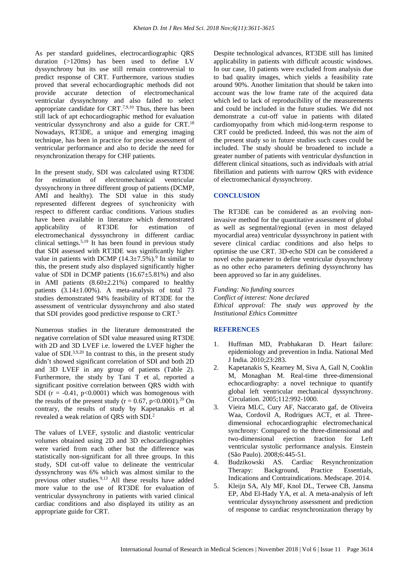As per standard guidelines, electrocardiographic QRS duration (>120ms) has been used to define LV dyssynchrony but its use still remain controversial to predict response of CRT. Furthermore, various studies proved that several echocardiographic methods did not provide accurate detection of electromechanical ventricular dyssynchrony and also failed to select appropriate candidate for CRT.7,9,10 Thus, there has been still lack of apt echocardiographic method for evaluation ventricular dyssynchrony and also a guide for CRT.<sup>18</sup> Nowadays, RT3DE, a unique and emerging imaging technique, has been in practice for precise assessment of ventricular performance and also to decide the need for resynchronization therapy for CHF patients.

In the present study, SDI was calculated using RT3DE for estimation of electromechanical ventricular dyssynchrony in three different group of patients (DCMP, AMI and healthy). The SDI value in this study represented different degrees of synchronicity with respect to different cardiac conditions. Various studies have been available in literature which demonstrated applicability of RT3DE for estimation of electromechanical dyssynchrony in different cardiac clinical settings.<sup>5,19</sup> It has been found in previous study that SDI assessed with RT3DE was significantly higher value in patients with DCMP  $(14.3\pm7.5\%)$ .<sup>9</sup> In similar to this, the present study also displayed significantly higher value of SDI in DCMP patients  $(16.67 \pm 5.81\%)$  and also in AMI patients  $(8.60 \pm 2.21\%)$  compared to healthy patients  $(3.14 \pm 1.00\%)$ . A meta-analysis of total 73 studies demonstrated 94% feasibility of RT3DE for the assessment of ventricular dyssynchrony and also stated that SDI provides good predictive response to CRT.<sup>5</sup>

Numerous studies in the literature demonstrated the negative correlation of SDI value measured using RT3DE with 2D and 3D LVEF i.e. lowered the LVEF higher the value of SDI $^{3,9,20}$  In contrast to this, in the present study didn't showed significant correlation of SDI and both 2D and 3D LVEF in any group of patients (Table 2). Furthermore, the study by Tani T et al, reported a significant positive correlation between QRS width with SDI ( $r = -0.41$ ,  $p < 0.0001$ ) which was homogenous with the results of the present study ( $r = 0.67$ ,  $p < 0.0001$ ).<sup>20</sup> On contrary, the results of study by Kapetanakis et al revealed a weak relation of QRS with SDI.<sup>2</sup>

The values of LVEF, systolic and diastolic ventricular volumes obtained using 2D and 3D echocardiographies were varied from each other but the difference was statistically non-significant for all three groups. In this study, SDI cut-off value to delineate the ventricular dyssynchrony was 6% which was almost similar to the previous other studies.9,13 All these results have added more value to the use of RT3DE for evaluation of ventricular dyssynchrony in patients with varied clinical cardiac conditions and also displayed its utility as an appropriate guide for CRT.

Despite technological advances, RT3DE still has limited applicability in patients with difficult acoustic windows. In our case, 10 patients were excluded from analysis due to bad quality images, which yields a feasibility rate around 90%. Another limitation that should be taken into account was the low frame rate of the acquired data which led to lack of reproducibility of the measurements and could be included in the future studies. We did not demonstrate a cut-off value in patients with dilated cardiomyopathy from which mid-long-term response to CRT could be predicted. Indeed, this was not the aim of the present study so in future studies such cases could be included. The study should be broadened to include a greater number of patients with ventricular dysfunction in different clinical situations, such as individuals with atrial fibrillation and patients with narrow QRS with evidence of electromechanical dyssynchrony.

#### **CONCLUSION**

The RT3DE can be considered as an evolving noninvasive method for the quantitative assessment of global as well as segmental/regional (even in most delayed myocardial area) ventricular dyssynchrony in patient with severe clinical cardiac conditions and also helps to optimise the use CRT. 3D-echo SDI can be considered a novel echo parameter to define ventricular dyssynchrony as no other echo parameters defining dyssynchrony has been approved so far in any guidelines.

*Funding: No funding sources Conflict of interest: None declared Ethical approval: The study was approved by the Institutional Ethics Committee*

#### **REFERENCES**

- 1. Huffman MD, Prabhakaran D. Heart failure: epidemiology and prevention in India. National Med J India. 2010;23:283.
- 2. Kapetanakis S, Kearney M, Siva A, Gall N, Cooklin M, Monaghan M. Real-time three-dimensional echocardiography: a novel technique to quantify global left ventricular mechanical dyssynchrony. Circulation. 2005;112:992-1000.
- 3. Vieira MLC, Cury AF, Naccarato gaf, de Oliveira Waa, Cordovil A, Rodrigues ACT, et al. Threedimensional echocardiographic electromechanical synchrony: Compared to the three-dimensional and two-dimensional ejection fraction for Left ventricular systolic performance analysis. Einstein (São Paulo). 2008;6:445-51.
- 4. Budzikowski AS. Cardiac Resynchronization Therapy: Background, Practice Essentials, Indications and Contraindications. Medscape. 2014.
- 5. Kleijn SA, Aly MF, Knol DL, Terwee CB, Jansma EP, Abd El-Hady YA, et al. A meta-analysis of left ventricular dyssynchrony assessment and prediction of response to cardiac resynchronization therapy by